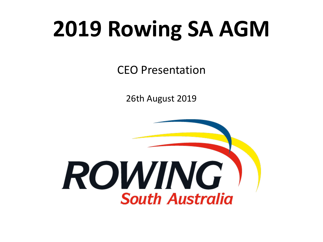## **2019 Rowing SA AGM**

CEO Presentation

26th August 2019

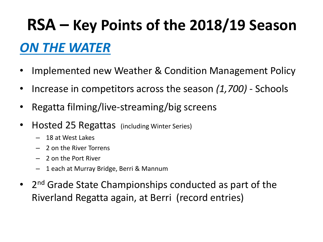#### *ON THE WATER*

- Implemented new Weather & Condition Management Policy
- Increase in competitors across the season *(1,700)*  Schools
- Regatta filming/live-streaming/big screens
- Hosted 25 Regattas (including Winter Series)
	- 18 at West Lakes
	- 2 on the River Torrens
	- 2 on the Port River
	- 1 each at Murray Bridge, Berri & Mannum
- 2<sup>nd</sup> Grade State Championships conducted as part of the Riverland Regatta again, at Berri (record entries)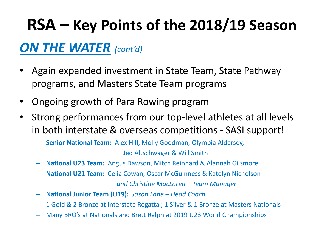#### *ON THE WATER (cont'd)*

- Again expanded investment in State Team, State Pathway programs, and Masters State Team programs
- Ongoing growth of Para Rowing program
- Strong performances from our top-level athletes at all levels in both interstate & overseas competitions - SASI support!
	- **Senior National Team:** Alex Hill, Molly Goodman, Olympia Aldersey, Jed Altschwager & Will Smith
	- **National U23 Team:** Angus Dawson, Mitch Reinhard & Alannah Gilsmore
	- **National U21 Team:** Celia Cowan, Oscar McGuinness & Katelyn Nicholson

*and Christine MacLaren – Team Manager*

- **National Junior Team (U19):** *Jason Lane – Head Coach*
- 1 Gold & 2 Bronze at Interstate Regatta ; 1 Silver & 1 Bronze at Masters Nationals
- Many BRO's at Nationals and Brett Ralph at 2019 U23 World Championships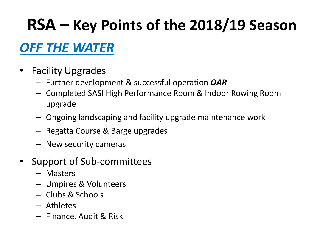#### *OFF THE WATER*

- Facility Upgrades
	- Further development & successful operation *OAR*
	- Completed SASI High Performance Room & Indoor Rowing Room upgrade
	- Ongoing landscaping and facility upgrade maintenance work
	- Regatta Course & Barge upgrades
	- New security cameras
- Support of Sub-committees
	- Masters
	- Umpires & Volunteers
	- Clubs & Schools
	- Athletes
	- Finance, Audit & Risk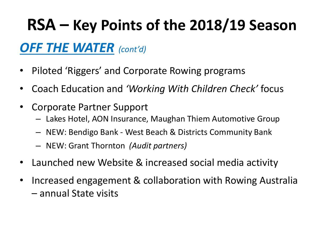#### *OFF THE WATER (cont'd)*

- Piloted 'Riggers' and Corporate Rowing programs
- Coach Education and *'Working With Children Check'* focus
- Corporate Partner Support
	- Lakes Hotel, AON Insurance, Maughan Thiem Automotive Group
	- NEW: Bendigo Bank West Beach & Districts Community Bank
	- NEW: Grant Thornton *(Audit partners)*
- Launched new Website & increased social media activity
- Increased engagement & collaboration with Rowing Australia – annual State visits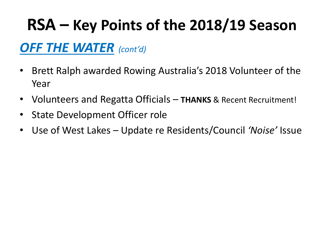#### *OFF THE WATER (cont'd)*

- Brett Ralph awarded Rowing Australia's 2018 Volunteer of the Year
- Volunteers and Regatta Officials **THANKS** & Recent Recruitment!
- State Development Officer role
- Use of West Lakes Update re Residents/Council *'Noise'* Issue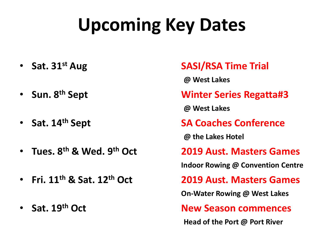## **Upcoming Key Dates**

- 
- 
- 
- 
- 
- 

#### • **Sat. 31st Aug SASI/RSA Time Trial**

**@ West Lakes** 

#### • **Sun. 8th Sept Winter Series Regatta#3**

**@ West Lakes**

• Sat. 14<sup>th</sup> Sept Sat. **SA Coaches Conference** 

**@ the Lakes Hotel**

• **Tues. 8th & Wed. 9th Oct 2019 Aust. Masters Games**

**Indoor Rowing @ Convention Centre**

• **Fri. 11th & Sat. 12th Oct 2019 Aust. Masters Games**

**On-Water Rowing @ West Lakes**

• **Sat. 19th Oct New Season commences**

**Head of the Port @ Port River**